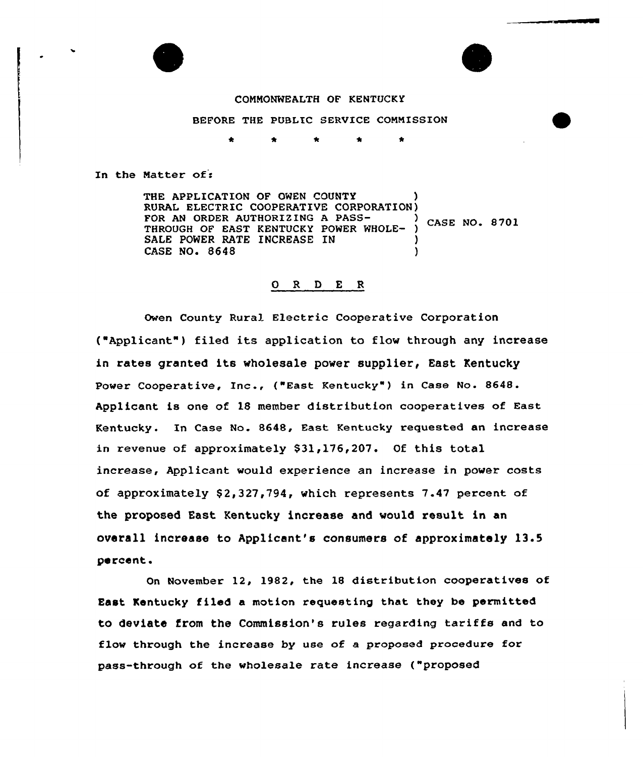



#### CONNONWEALTH OF KENTUCKY

### BEFORE THE PUBLIC SERVICE CONMISSION

In the Matter of:

THE APPLICATION OF OWEN COUNTY RURAL ELECTRIC COOPERATIVE CORPORATION) FOR AN ORDER AUTHORIZING A PASS-<br>CASE NO. 8701 THROUGH OF EAST KENTUCKY POWER WHOLE-SALE POWER RATE INCREASE IN CASE NO. 8648 )

### 0 <sup>R</sup> <sup>D</sup> E <sup>R</sup>

Owen County Rural Electric Cooperative Corporation ("Applicant") filed its application to flow through any increase in rates granted its wholesale power supplier, East Kentucky Power Cooperative, Inc., ("East Kentucky" ) in Case No. 8648. Applicant is one of 18 member distribution cooperatives of East Kentucky. In Case No. 8648, East Kentucky requested an increase in revenue of approximately \$31,176,207. Of this total increase, Applicant would experience an increase in power costs of approximately  $$2,327,794$ , which represents 7.47 percent of the proposed East Kentucky increase and would result in an overall increase to Applicant's consumers of approximately 13.5 percent.

On November 12, 1982, the 18 distribution cooperatives of East Kentucky filed a motion requesting that they be permitted to deviate from the Commission's rules regarding tariffs and to flow through the increase by use of a proposed procedure for pass-through of the wholesale rate increase ("proposed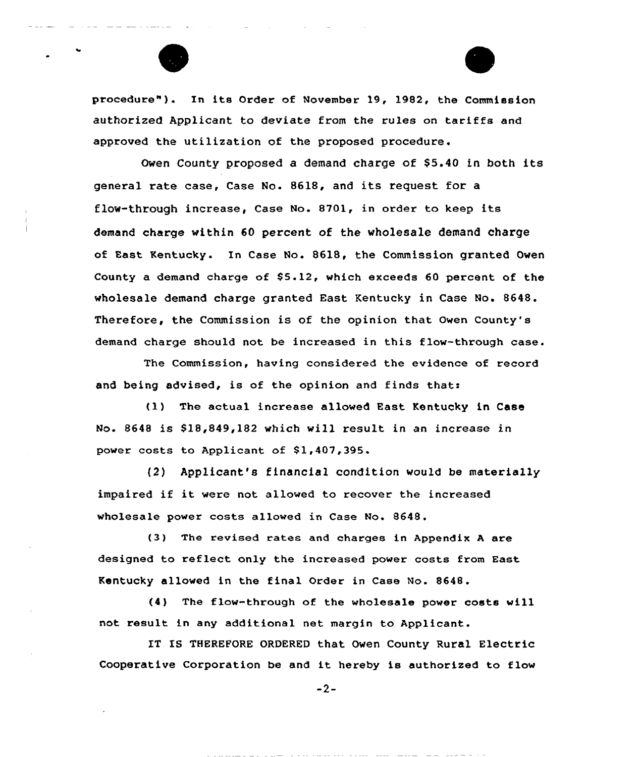

procedure"). In its Order of November 19, 1982, the Commission authorized Applicant to deviate from the rules on tariffs and approved the utilization of the pxoposed procedure.

Owen County proposed a demand charge of \$5.40 in both its general rate case, Case No. 8618, and its request for <sup>a</sup> flow-through increase, Case No. 8701, in order to keep its demand charge within 60 percent of the wholesale demand charge of East Kentucky. In Case No. 8618, the Commission granted Owen County a demand charge of  $$5.12$ , which exceeds 60 percent of the wholesale demand charge granted East Kentucky in Case No. 8648. Therefore, the Commission is of the opinion that Owen County's demand charge should not be increased in this flow-through case.

The Commission, having considered the evidence of record and being advised, is of the opinion and finds that:

(1) The actual increase allowed East Kentucky in Case No. 8648 is \$18,849,182 which will result in an increase in power costs to Applicant of \$1,407,395.

{2) Applicant's financial condition would be materially impaired if it were not allowed to recover the increased wholesale power costs allowed in Case No. 8648.

(3) The revised rates and charges in Appendix <sup>A</sup> are designed to reflect only the increased power costs from East Kentucky allowed in the fina1 Order in Case No. 8648.

(4) The flaw-through of the wholesale power costs will not result in any additional net margin to Applicant.

IT IS THEREFORE ORDERED that Owen County Rural Electric Cooperative Corporation be and it hereby is authorized to flow

 $-2-$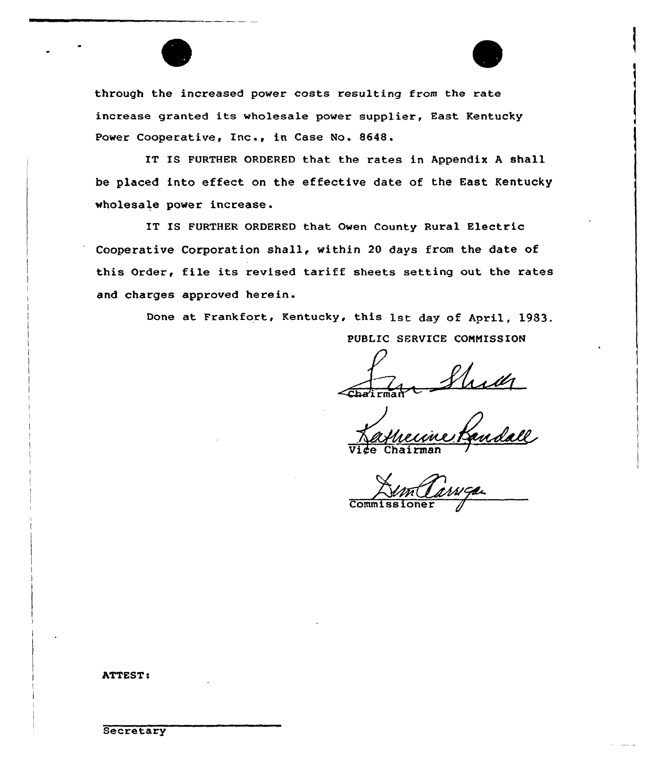

through the increased power costs resulting from the rate increase granted its wholesale power supplier, East Kentucky Power Cooperative, Inc., in Case No. 8648.

IT IS FURTHER ORDERED that the rates in Appendix <sup>A</sup> shall be placed into effect on the effective date of the East Kentucky wholesale power increase.

IT IS FURTHER ORDERED that Owen County Rural Electric Cooperative Corporation shall, within 20 days from the date of this Order, file its revised tariff sheets setting out the rates and charges approved herein.

Done at Frankfort, Kentucky, this 1st day of April, 1983.

PUBLIC SERVICE COMMISSION

~Cha'i rma h

<u>Landall</u> Vi*¢*e Chairma

 $Comm$ iss

**ATTEST:**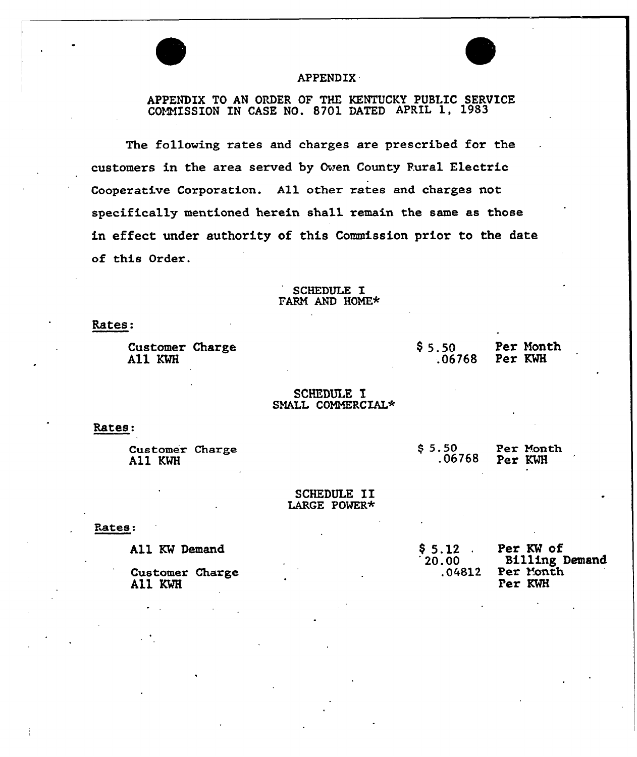# APPENDIX

# APPENDIX TO AN ORDER OF THE KENTUCKY PUBLIC SERVICE COMMISSION IN CASE NO. 8701 DATED APRIL 1, 1983

The following rates and charges are prescribed for the customers in the area served by Oven County Rural Electric Cooperative Corporation. A11 other rates and charges not specifically mentioned herein shall remain the same as those in effect under authority of this Commission prior to the date of this Order.

# SCHEDULE I FARM AND HOME\*

Rates.

Customer Charge All KWH

\$5.50 **Per Month**<br>06768 Per KWH  $.06768$ 

#### SCHEDULE I SMALL COMMERCIAL\*

Rates:

Customer Charge All KWH

\$5.50 Per Month<br>.06768 Per KWH Per KWH

#### SCHEDULE II LARGE POWER\*

Rates:

All KW Demand

Customer Charge All KWH

\$ 5.12 . Per KW of<br>'20.00 Billing Demand<br>.04812 Per Month Per Month Per KWH